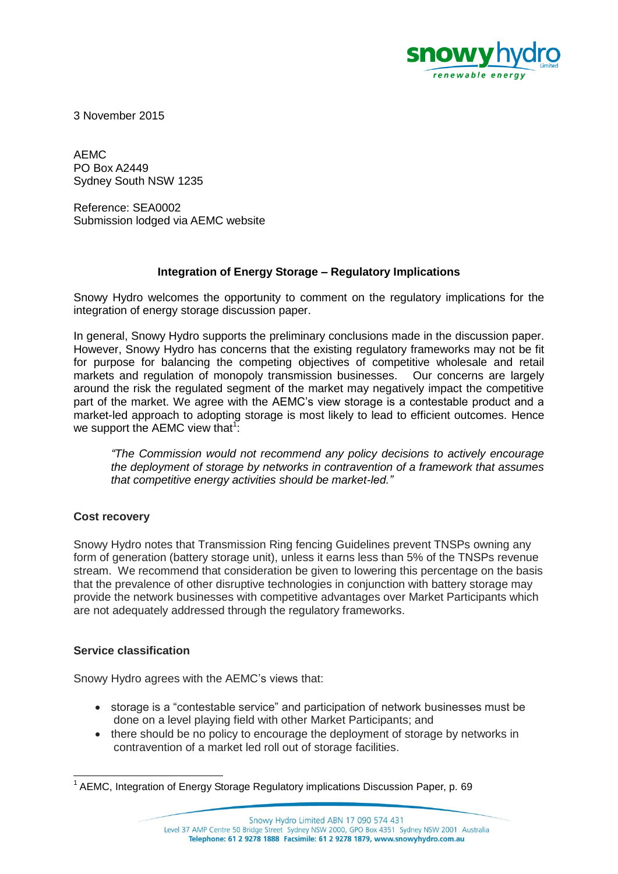

3 November 2015

AEMC PO Box A2449 Sydney South NSW 1235

Reference: SEA0002 Submission lodged via AEMC website

## **Integration of Energy Storage – Regulatory Implications**

Snowy Hydro welcomes the opportunity to comment on the regulatory implications for the integration of energy storage discussion paper.

In general, Snowy Hydro supports the preliminary conclusions made in the discussion paper. However, Snowy Hydro has concerns that the existing regulatory frameworks may not be fit for purpose for balancing the competing objectives of competitive wholesale and retail markets and regulation of monopoly transmission businesses. Our concerns are largely around the risk the regulated segment of the market may negatively impact the competitive part of the market. We agree with the AEMC's view storage is a contestable product and a market-led approach to adopting storage is most likely to lead to efficient outcomes. Hence we support the AEMC view that<sup>1</sup>:

*"The Commission would not recommend any policy decisions to actively encourage the deployment of storage by networks in contravention of a framework that assumes that competitive energy activities should be market-led."* 

## **Cost recovery**

Snowy Hydro notes that Transmission Ring fencing Guidelines prevent TNSPs owning any form of generation (battery storage unit), unless it earns less than 5% of the TNSPs revenue stream. We recommend that consideration be given to lowering this percentage on the basis that the prevalence of other disruptive technologies in conjunction with battery storage may provide the network businesses with competitive advantages over Market Participants which are not adequately addressed through the regulatory frameworks.

## **Service classification**

l

Snowy Hydro agrees with the AEMC's views that:

- storage is a "contestable service" and participation of network businesses must be done on a level playing field with other Market Participants; and
- there should be no policy to encourage the deployment of storage by networks in contravention of a market led roll out of storage facilities.

<sup>&</sup>lt;sup>1</sup> AEMC, Integration of Energy Storage Regulatory implications Discussion Paper, p. 69